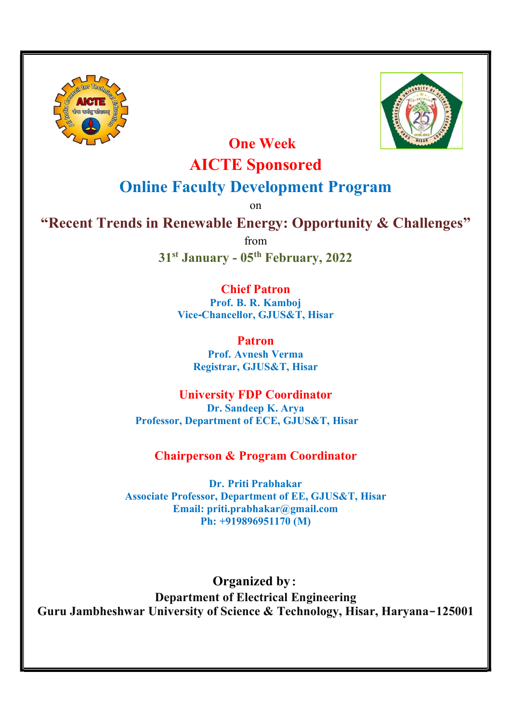



One Week

# AICTE Sponsored

## Online Faculty Development Program

on

"Recent Trends in Renewable Energy: Opportunity & Challenges"

from

31st January - 05th February, 2022

## Chief Patron

Prof. B. R. Kamboj Vice-Chancellor, GJUS&T, Hisar

> Patron Prof. Avnesh Verma Registrar, GJUS&T, Hisar

University FDP Coordinator Dr. Sandeep K. Arya Professor, Department of ECE, GJUS&T, Hisar

## Chairperson & Program Coordinator

Dr. Priti Prabhakar Associate Professor, Department of EE, GJUS&T, Hisar Email: priti.prabhakar@gmail.com Ph: +919896951170 (M)

Organized by: Department of Electrical Engineering Guru Jambheshwar University of Science & Technology, Hisar, Haryana-125001